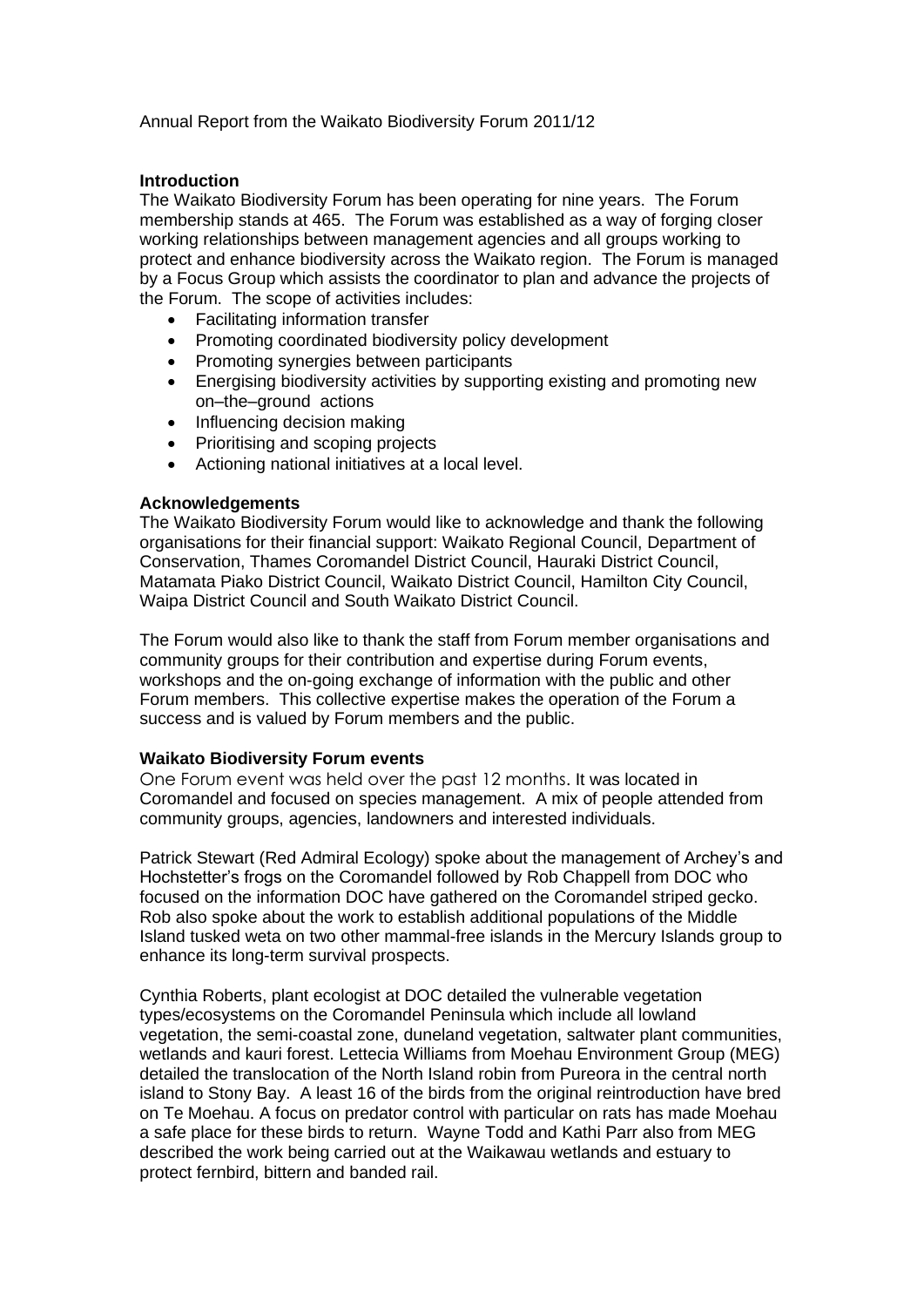Annual Report from the Waikato Biodiversity Forum 2011/12

## **Introduction**

The Waikato Biodiversity Forum has been operating for nine years. The Forum membership stands at 465. The Forum was established as a way of forging closer working relationships between management agencies and all groups working to protect and enhance biodiversity across the Waikato region. The Forum is managed by a Focus Group which assists the coordinator to plan and advance the projects of the Forum. The scope of activities includes:

- Facilitating information transfer
- Promoting coordinated biodiversity policy development
- Promoting synergies between participants
- Energising biodiversity activities by supporting existing and promoting new on–the–ground actions
- Influencing decision making
- Prioritising and scoping projects
- Actioning national initiatives at a local level.

# **Acknowledgements**

The Waikato Biodiversity Forum would like to acknowledge and thank the following organisations for their financial support: Waikato Regional Council, Department of Conservation, Thames Coromandel District Council, Hauraki District Council, Matamata Piako District Council, Waikato District Council, Hamilton City Council, Waipa District Council and South Waikato District Council.

The Forum would also like to thank the staff from Forum member organisations and community groups for their contribution and expertise during Forum events, workshops and the on-going exchange of information with the public and other Forum members. This collective expertise makes the operation of the Forum a success and is valued by Forum members and the public.

### **Waikato Biodiversity Forum events**

One Forum event was held over the past 12 months. It was located in Coromandel and focused on species management. A mix of people attended from community groups, agencies, landowners and interested individuals.

Patrick Stewart (Red Admiral Ecology) spoke about the management of Archey's and Hochstetter's frogs on the Coromandel followed by Rob Chappell from DOC who focused on the information DOC have gathered on the Coromandel striped gecko. Rob also spoke about the work to establish additional populations of the Middle Island tusked weta on two other mammal-free islands in the Mercury Islands group to enhance its long-term survival prospects.

Cynthia Roberts, plant ecologist at DOC detailed the vulnerable vegetation types/ecosystems on the Coromandel Peninsula which include all lowland vegetation, the semi-coastal zone, duneland vegetation, saltwater plant communities, wetlands and kauri forest. Lettecia Williams from Moehau Environment Group (MEG) detailed the translocation of the North Island robin from Pureora in the central north island to Stony Bay. A least 16 of the birds from the original reintroduction have bred on Te Moehau. A focus on predator control with particular on rats has made Moehau a safe place for these birds to return. Wayne Todd and Kathi Parr also from MEG described the work being carried out at the Waikawau wetlands and estuary to protect fernbird, bittern and banded rail.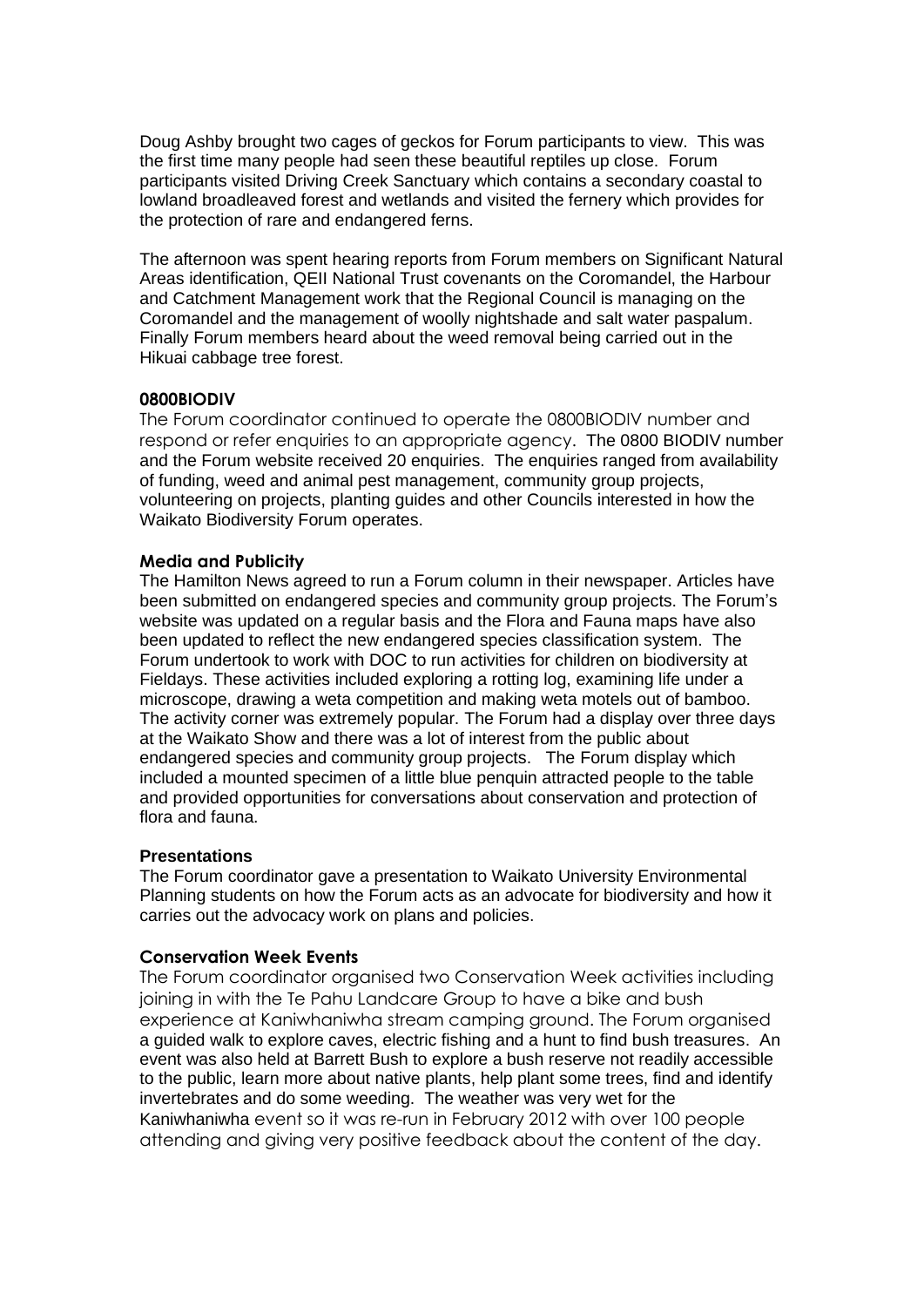Doug Ashby brought two cages of geckos for Forum participants to view. This was the first time many people had seen these beautiful reptiles up close. Forum participants visited Driving Creek Sanctuary which contains a secondary coastal to lowland broadleaved forest and wetlands and visited the fernery which provides for the protection of rare and endangered ferns.

The afternoon was spent hearing reports from Forum members on Significant Natural Areas identification, QEII National Trust covenants on the Coromandel, the Harbour and Catchment Management work that the Regional Council is managing on the Coromandel and the management of woolly nightshade and salt water paspalum. Finally Forum members heard about the weed removal being carried out in the Hikuai cabbage tree forest.

# **0800BIODIV**

The Forum coordinator continued to operate the 0800BIODIV number and respond or refer enquiries to an appropriate agency. The 0800 BIODIV number and the Forum website received 20 enquiries. The enquiries ranged from availability of funding, weed and animal pest management, community group projects, volunteering on projects, planting guides and other Councils interested in how the Waikato Biodiversity Forum operates.

# **Media and Publicity**

The Hamilton News agreed to run a Forum column in their newspaper. Articles have been submitted on endangered species and community group projects. The Forum's website was updated on a regular basis and the Flora and Fauna maps have also been updated to reflect the new endangered species classification system. The Forum undertook to work with DOC to run activities for children on biodiversity at Fieldays. These activities included exploring a rotting log, examining life under a microscope, drawing a weta competition and making weta motels out of bamboo. The activity corner was extremely popular. The Forum had a display over three days at the Waikato Show and there was a lot of interest from the public about endangered species and community group projects. The Forum display which included a mounted specimen of a little blue penquin attracted people to the table and provided opportunities for conversations about conservation and protection of flora and fauna.

# **Presentations**

The Forum coordinator gave a presentation to Waikato University Environmental Planning students on how the Forum acts as an advocate for biodiversity and how it carries out the advocacy work on plans and policies.

# **Conservation Week Events**

The Forum coordinator organised two Conservation Week activities including joining in with the Te Pahu Landcare Group to have a bike and bush experience at Kaniwhaniwha stream camping ground. The Forum organised a guided walk to explore caves, electric fishing and a hunt to find bush treasures. An event was also held at Barrett Bush to explore a bush reserve not readily accessible to the public, learn more about native plants, help plant some trees, find and identify invertebrates and do some weeding. The weather was very wet for the Kaniwhaniwha event so it was re-run in February 2012 with over 100 people attending and giving very positive feedback about the content of the day.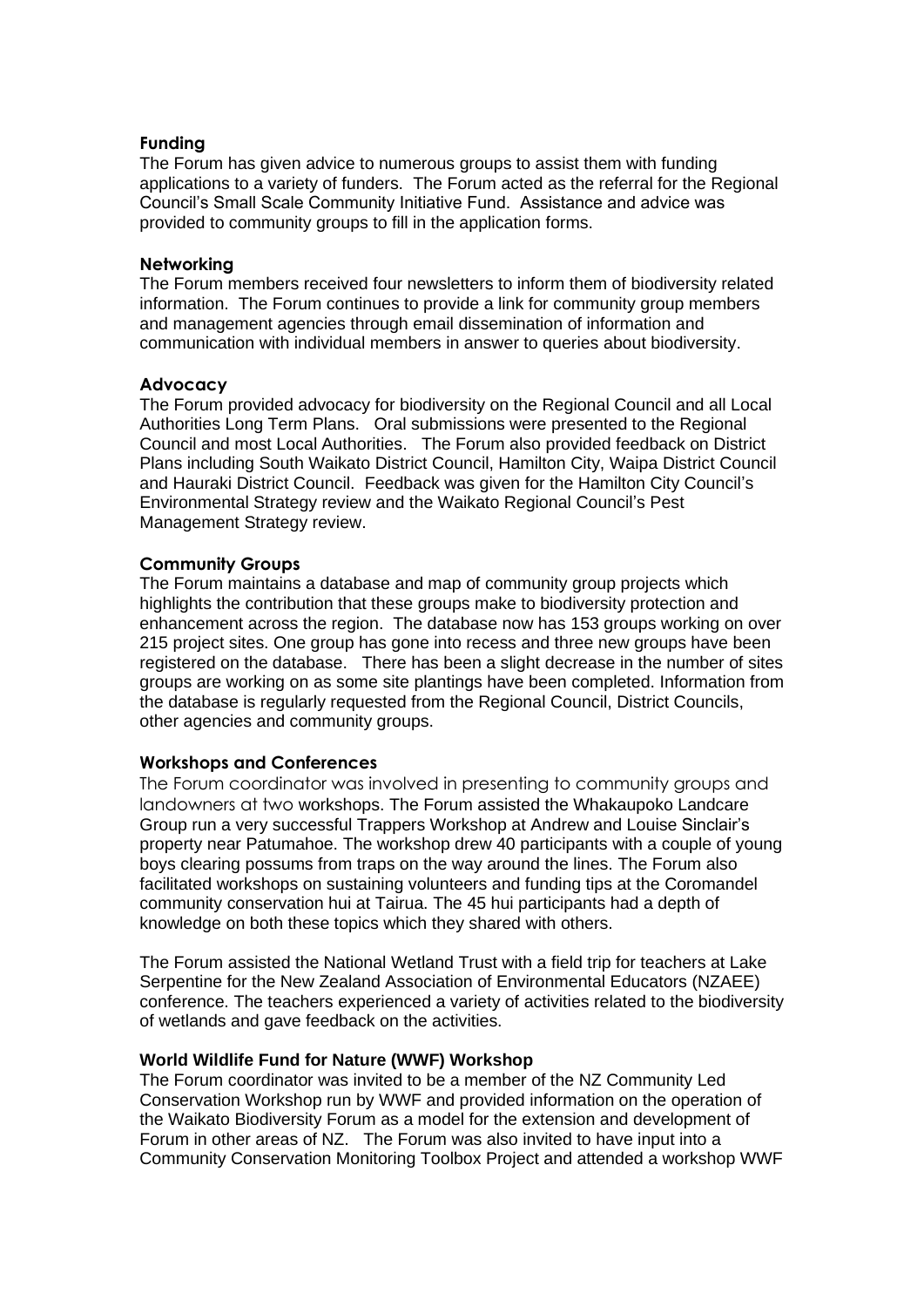## **Funding**

The Forum has given advice to numerous groups to assist them with funding applications to a variety of funders. The Forum acted as the referral for the Regional Council's Small Scale Community Initiative Fund. Assistance and advice was provided to community groups to fill in the application forms.

### **Networking**

The Forum members received four newsletters to inform them of biodiversity related information. The Forum continues to provide a link for community group members and management agencies through email dissemination of information and communication with individual members in answer to queries about biodiversity.

#### **Advocacy**

The Forum provided advocacy for biodiversity on the Regional Council and all Local Authorities Long Term Plans. Oral submissions were presented to the Regional Council and most Local Authorities. The Forum also provided feedback on District Plans including South Waikato District Council, Hamilton City, Waipa District Council and Hauraki District Council. Feedback was given for the Hamilton City Council's Environmental Strategy review and the Waikato Regional Council's Pest Management Strategy review.

#### **Community Groups**

The Forum maintains a database and map of community group projects which highlights the contribution that these groups make to biodiversity protection and enhancement across the region. The database now has 153 groups working on over 215 project sites. One group has gone into recess and three new groups have been registered on the database. There has been a slight decrease in the number of sites groups are working on as some site plantings have been completed. Information from the database is regularly requested from the Regional Council, District Councils, other agencies and community groups.

#### **Workshops and Conferences**

The Forum coordinator was involved in presenting to community groups and landowners at two workshops. The Forum assisted the Whakaupoko Landcare Group run a very successful Trappers Workshop at Andrew and Louise Sinclair's property near Patumahoe. The workshop drew 40 participants with a couple of young boys clearing possums from traps on the way around the lines. The Forum also facilitated workshops on sustaining volunteers and funding tips at the Coromandel community conservation hui at Tairua. The 45 hui participants had a depth of knowledge on both these topics which they shared with others.

The Forum assisted the National Wetland Trust with a field trip for teachers at Lake Serpentine for the New Zealand Association of Environmental Educators (NZAEE) conference. The teachers experienced a variety of activities related to the biodiversity of wetlands and gave feedback on the activities.

#### **World Wildlife Fund for Nature (WWF) Workshop**

The Forum coordinator was invited to be a member of the NZ Community Led Conservation Workshop run by WWF and provided information on the operation of the Waikato Biodiversity Forum as a model for the extension and development of Forum in other areas of NZ. The Forum was also invited to have input into a Community Conservation Monitoring Toolbox Project and attended a workshop WWF